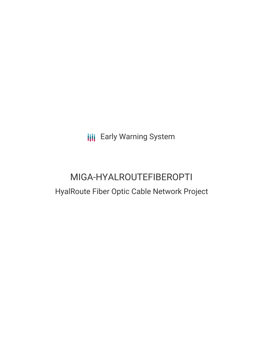**III** Early Warning System

# MIGA-HYALROUTEFIBEROPTI HyalRoute Fiber Optic Cable Network Project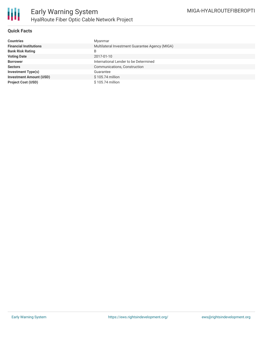

#### **Quick Facts**

| <b>Countries</b>               | Myanmar                                         |
|--------------------------------|-------------------------------------------------|
| <b>Financial Institutions</b>  | Multilateral Investment Guarantee Agency (MIGA) |
| <b>Bank Risk Rating</b>        | B                                               |
| <b>Voting Date</b>             | 2017-01-10                                      |
| <b>Borrower</b>                | International Lender to be Determined           |
| <b>Sectors</b>                 | Communications, Construction                    |
| <b>Investment Type(s)</b>      | Guarantee                                       |
| <b>Investment Amount (USD)</b> | \$105.74 million                                |
| <b>Project Cost (USD)</b>      | \$105.74 million                                |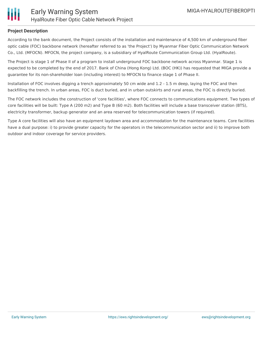

#### **Project Description**

According to the bank document, the Project consists of the installation and maintenance of 4,500 km of underground fiber optic cable (FOC) backbone network (hereafter referred to as 'the Project') by Myanmar Fiber Optic Communication Network Co., Ltd. (MFOCN). MFOCN, the project company, is a subsidiary of HyalRoute Communication Group Ltd. (HyalRoute).

The Project is stage 1 of Phase II of a program to install underground FOC backbone network across Myanmar. Stage 1 is expected to be completed by the end of 2017. Bank of China (Hong Kong) Ltd. (BOC (HK)) has requested that MIGA provide a guarantee for its non-shareholder loan (including interest) to MFOCN to finance stage 1 of Phase II.

Installation of FOC involves digging a trench approximately 50 cm wide and 1.2 - 1.5 m deep, laying the FOC and then backfilling the trench. In urban areas, FOC is duct buried, and in urban outskirts and rural areas, the FOC is directly buried.

The FOC network includes the construction of 'core facilities', where FOC connects to communications equipment. Two types of core facilities will be built: Type A (200 m2) and Type B (60 m2). Both facilities will include a base transceiver station (BTS), electricity transformer, backup generator and an area reserved for telecommunication towers (if required).

Type A core facilities will also have an equipment laydown area and accommodation for the maintenance teams. Core facilities have a dual purpose: i) to provide greater capacity for the operators in the telecommunication sector and ii) to improve both outdoor and indoor coverage for service providers.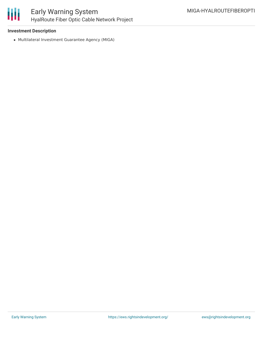

### Early Warning System HyalRoute Fiber Optic Cable Network Project

#### **Investment Description**

Multilateral Investment Guarantee Agency (MIGA)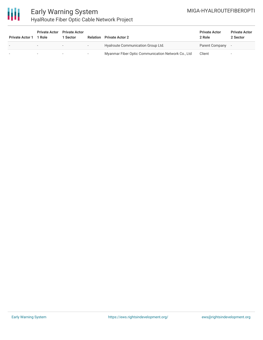### MIGA-HYALROUTEFIBEROPTI



## Early Warning System HyalRoute Fiber Optic Cable Network Project

| <b>Private Actor 1</b> | <b>Private Actor</b><br>1 Role | <b>Private Actor</b><br><b>Sector</b> | Relation                 | <b>Private Actor 2</b>                             | <b>Private Actor</b><br>2 Role | <b>Private Actor</b><br>2 Sector |
|------------------------|--------------------------------|---------------------------------------|--------------------------|----------------------------------------------------|--------------------------------|----------------------------------|
|                        |                                | $\,$                                  | $\overline{\phantom{0}}$ | Hyalroute Communication Group Ltd.                 | Parent Company                 |                                  |
|                        |                                |                                       | $\overline{\phantom{0}}$ | Myanmar Fiber Optic Communication Network Co., Ltd | Client                         |                                  |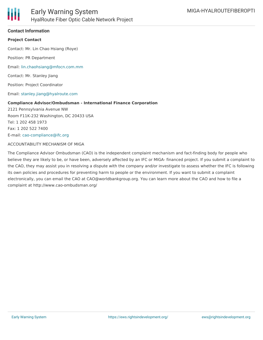

#### **Contact Information**

#### **Project Contact**

Contact: Mr. Lin Chao Hsiang (Roye)

Position: PR Department

Email: [lin.chaohsiang@mfocn.com.mm](mailto:lin.chaohsiang@mfocn.com.mm)

Contact: Mr. Stanley Jiang

Position: Project Coordinator

Email: [stanley.jiang@hyalroute.com](mailto:stanley.jiang@hyalroute.com)

#### **Compliance Advisor/Ombudsman - International Finance Corporation**

2121 Pennsylvania Avenue NW Room F11K-232 Washington, DC 20433 USA Tel: 1 202 458 1973 Fax: 1 202 522 7400 E-mail: [cao-compliance@ifc.org](mailto:cao-compliance@ifc.org)

#### ACCOUNTABILITY MECHANISM OF MIGA

The Compliance Advisor Ombudsman (CAO) is the independent complaint mechanism and fact-finding body for people who believe they are likely to be, or have been, adversely affected by an IFC or MIGA- financed project. If you submit a complaint to the CAO, they may assist you in resolving a dispute with the company and/or investigate to assess whether the IFC is following its own policies and procedures for preventing harm to people or the environment. If you want to submit a complaint electronically, you can email the CAO at CAO@worldbankgroup.org. You can learn more about the CAO and how to file a complaint at http://www.cao-ombudsman.org/